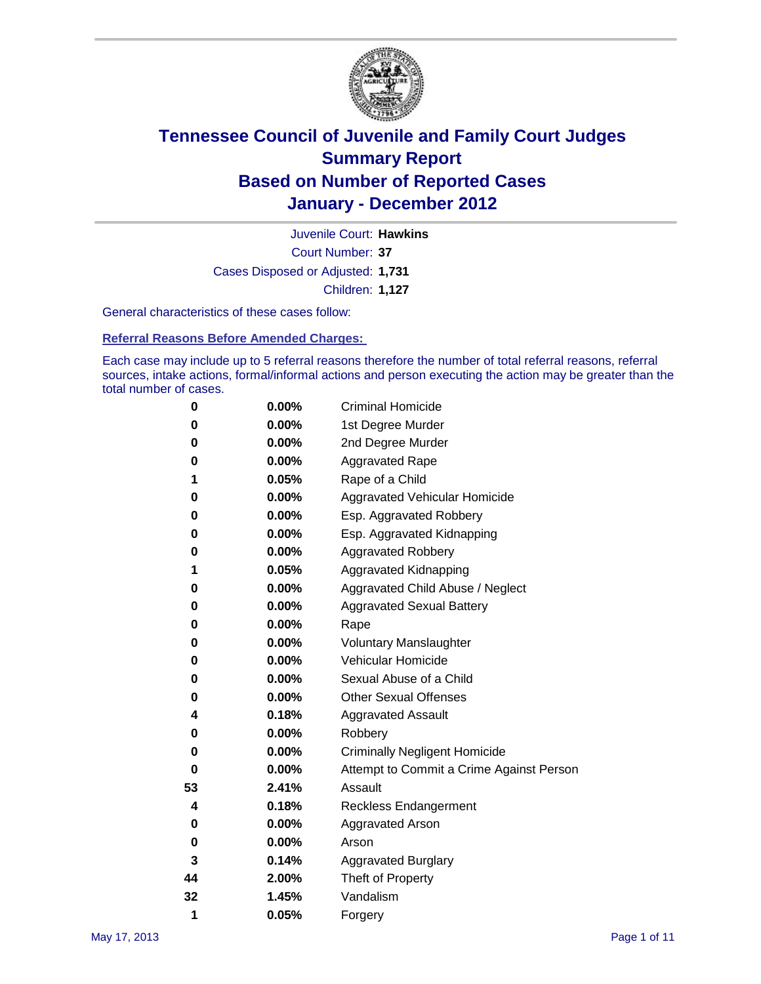

Court Number: **37** Juvenile Court: **Hawkins** Cases Disposed or Adjusted: **1,731** Children: **1,127**

General characteristics of these cases follow:

**Referral Reasons Before Amended Charges:** 

Each case may include up to 5 referral reasons therefore the number of total referral reasons, referral sources, intake actions, formal/informal actions and person executing the action may be greater than the total number of cases.

| 0  | 0.00% | <b>Criminal Homicide</b>                 |
|----|-------|------------------------------------------|
| 0  | 0.00% | 1st Degree Murder                        |
| 0  | 0.00% | 2nd Degree Murder                        |
| 0  | 0.00% | <b>Aggravated Rape</b>                   |
| 1  | 0.05% | Rape of a Child                          |
| 0  | 0.00% | Aggravated Vehicular Homicide            |
| 0  | 0.00% | Esp. Aggravated Robbery                  |
| 0  | 0.00% | Esp. Aggravated Kidnapping               |
| 0  | 0.00% | <b>Aggravated Robbery</b>                |
| 1  | 0.05% | Aggravated Kidnapping                    |
| 0  | 0.00% | Aggravated Child Abuse / Neglect         |
| 0  | 0.00% | <b>Aggravated Sexual Battery</b>         |
| 0  | 0.00% | Rape                                     |
| 0  | 0.00% | <b>Voluntary Manslaughter</b>            |
| 0  | 0.00% | Vehicular Homicide                       |
| 0  | 0.00% | Sexual Abuse of a Child                  |
| 0  | 0.00% | <b>Other Sexual Offenses</b>             |
| 4  | 0.18% | <b>Aggravated Assault</b>                |
| 0  | 0.00% | Robbery                                  |
| 0  | 0.00% | <b>Criminally Negligent Homicide</b>     |
| 0  | 0.00% | Attempt to Commit a Crime Against Person |
| 53 | 2.41% | Assault                                  |
| 4  | 0.18% | <b>Reckless Endangerment</b>             |
| 0  | 0.00% | <b>Aggravated Arson</b>                  |
| 0  | 0.00% | Arson                                    |
| 3  | 0.14% | <b>Aggravated Burglary</b>               |
| 44 | 2.00% | Theft of Property                        |
| 32 | 1.45% | Vandalism                                |
| 1  | 0.05% | Forgery                                  |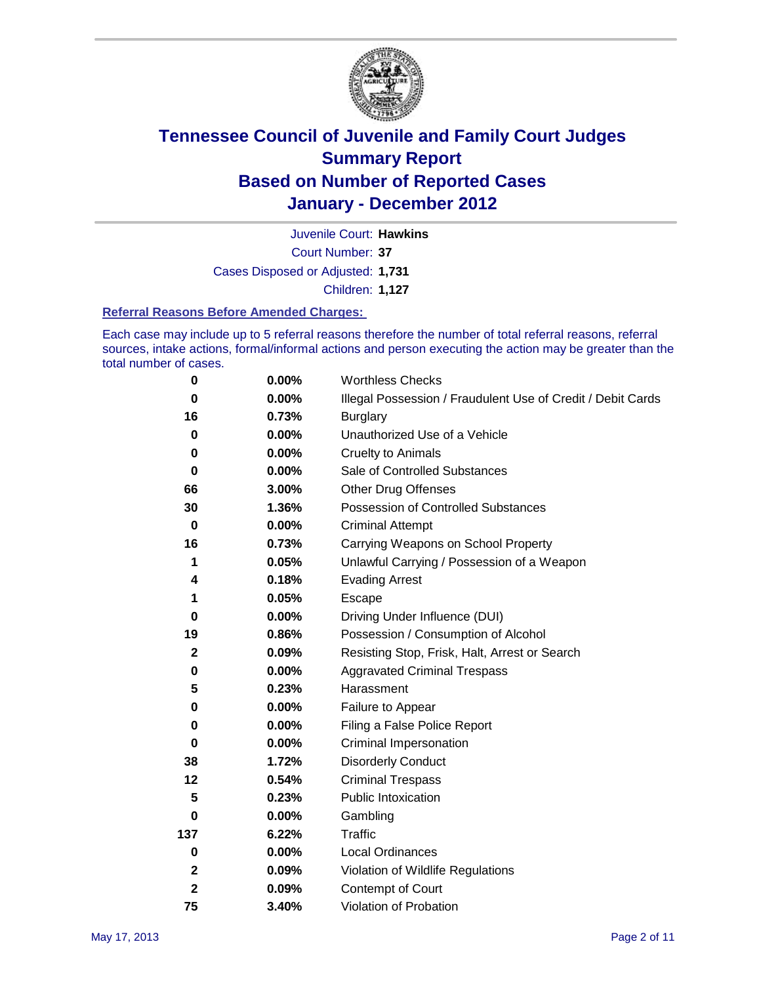

Court Number: **37** Juvenile Court: **Hawkins** Cases Disposed or Adjusted: **1,731** Children: **1,127**

#### **Referral Reasons Before Amended Charges:**

Each case may include up to 5 referral reasons therefore the number of total referral reasons, referral sources, intake actions, formal/informal actions and person executing the action may be greater than the total number of cases.

| $\pmb{0}$    | 0.00%    | <b>Worthless Checks</b>                                     |
|--------------|----------|-------------------------------------------------------------|
| 0            | $0.00\%$ | Illegal Possession / Fraudulent Use of Credit / Debit Cards |
| 16           | 0.73%    | <b>Burglary</b>                                             |
| $\bf{0}$     | $0.00\%$ | Unauthorized Use of a Vehicle                               |
| 0            | $0.00\%$ | <b>Cruelty to Animals</b>                                   |
| $\bf{0}$     | $0.00\%$ | Sale of Controlled Substances                               |
| 66           | 3.00%    | <b>Other Drug Offenses</b>                                  |
| 30           | 1.36%    | Possession of Controlled Substances                         |
| $\bf{0}$     | $0.00\%$ | <b>Criminal Attempt</b>                                     |
| 16           | 0.73%    | Carrying Weapons on School Property                         |
| 1            | 0.05%    | Unlawful Carrying / Possession of a Weapon                  |
| 4            | 0.18%    | <b>Evading Arrest</b>                                       |
| 1            | 0.05%    | Escape                                                      |
| 0            | 0.00%    | Driving Under Influence (DUI)                               |
| 19           | 0.86%    | Possession / Consumption of Alcohol                         |
| $\mathbf 2$  | 0.09%    | Resisting Stop, Frisk, Halt, Arrest or Search               |
| 0            | $0.00\%$ | <b>Aggravated Criminal Trespass</b>                         |
| 5            | 0.23%    | Harassment                                                  |
| 0            | 0.00%    | Failure to Appear                                           |
| 0            | $0.00\%$ | Filing a False Police Report                                |
| $\bf{0}$     | 0.00%    | Criminal Impersonation                                      |
| 38           | 1.72%    | <b>Disorderly Conduct</b>                                   |
| 12           | 0.54%    | <b>Criminal Trespass</b>                                    |
| 5            | 0.23%    | <b>Public Intoxication</b>                                  |
| 0            | $0.00\%$ | Gambling                                                    |
| 137          | 6.22%    | <b>Traffic</b>                                              |
| $\mathbf 0$  | $0.00\%$ | <b>Local Ordinances</b>                                     |
| $\mathbf{2}$ | 0.09%    | Violation of Wildlife Regulations                           |
| $\mathbf{2}$ | 0.09%    | Contempt of Court                                           |
| 75           | 3.40%    | Violation of Probation                                      |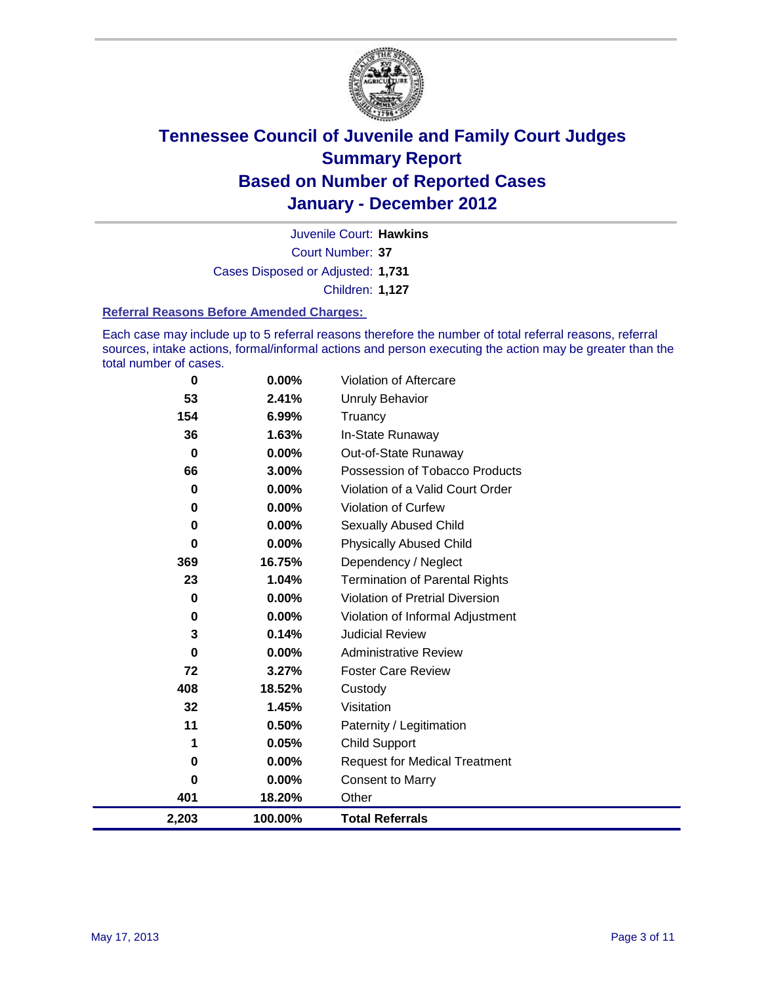

Court Number: **37** Juvenile Court: **Hawkins** Cases Disposed or Adjusted: **1,731** Children: **1,127**

#### **Referral Reasons Before Amended Charges:**

Each case may include up to 5 referral reasons therefore the number of total referral reasons, referral sources, intake actions, formal/informal actions and person executing the action may be greater than the total number of cases.

| 0           | 0.00%    | Violation of Aftercare                 |
|-------------|----------|----------------------------------------|
| 53          | 2.41%    | <b>Unruly Behavior</b>                 |
| 154         | $6.99\%$ | Truancy                                |
| 36          | 1.63%    | In-State Runaway                       |
| $\mathbf 0$ | $0.00\%$ | Out-of-State Runaway                   |
| 66          | 3.00%    | Possession of Tobacco Products         |
| 0           | $0.00\%$ | Violation of a Valid Court Order       |
| 0           | $0.00\%$ | Violation of Curfew                    |
| $\bf{0}$    | $0.00\%$ | <b>Sexually Abused Child</b>           |
| 0           | 0.00%    | <b>Physically Abused Child</b>         |
| 369         | 16.75%   | Dependency / Neglect                   |
| 23          | 1.04%    | <b>Termination of Parental Rights</b>  |
| $\bf{0}$    | 0.00%    | <b>Violation of Pretrial Diversion</b> |
| 0           | 0.00%    | Violation of Informal Adjustment       |
| 3           | 0.14%    | <b>Judicial Review</b>                 |
| 0           | $0.00\%$ | <b>Administrative Review</b>           |
| 72          | 3.27%    | <b>Foster Care Review</b>              |
| 408         | 18.52%   | Custody                                |
| 32          | 1.45%    | Visitation                             |
| 11          | 0.50%    | Paternity / Legitimation               |
| 1           | 0.05%    | <b>Child Support</b>                   |
| 0           | 0.00%    | <b>Request for Medical Treatment</b>   |
| 0           | $0.00\%$ | <b>Consent to Marry</b>                |
| 401         | 18.20%   | Other                                  |
| 2,203       | 100.00%  | <b>Total Referrals</b>                 |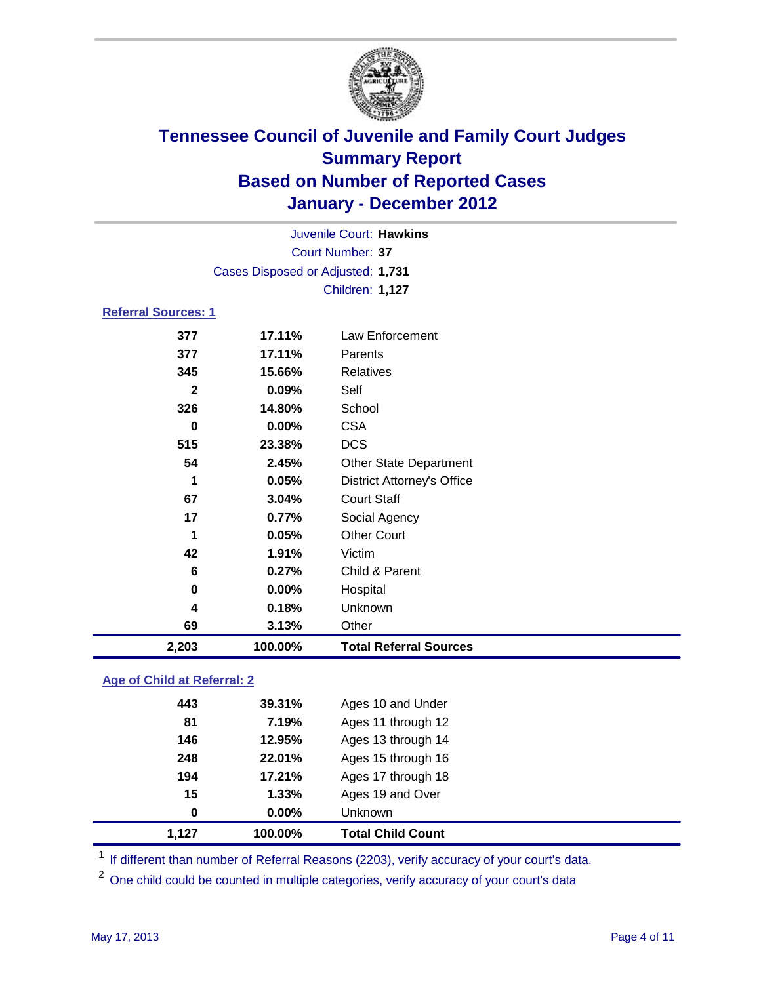

| 2,203                      | 100.00%                           | <b>Total Referral Sources</b>     |  |  |  |
|----------------------------|-----------------------------------|-----------------------------------|--|--|--|
| 69                         | 3.13%                             | Other                             |  |  |  |
| 4                          | 0.18%                             | Unknown                           |  |  |  |
| $\mathbf 0$                | 0.00%                             | Hospital                          |  |  |  |
| 6                          | 0.27%                             | Child & Parent                    |  |  |  |
| 42                         | 1.91%                             | Victim                            |  |  |  |
| 1                          | 0.05%                             | <b>Other Court</b>                |  |  |  |
| 17                         | 0.77%                             | Social Agency                     |  |  |  |
| 67                         | 3.04%                             | <b>Court Staff</b>                |  |  |  |
| 1                          | 0.05%                             | <b>District Attorney's Office</b> |  |  |  |
| 54                         | 2.45%                             | <b>Other State Department</b>     |  |  |  |
| 515                        | 23.38%                            | <b>DCS</b>                        |  |  |  |
| $\bf{0}$                   | 0.00%                             | <b>CSA</b>                        |  |  |  |
| 326                        | 14.80%                            | School                            |  |  |  |
| $\mathbf{2}$               | 0.09%                             | Self                              |  |  |  |
| 345                        | 15.66%                            | <b>Relatives</b>                  |  |  |  |
| 377                        | 17.11%                            | Parents                           |  |  |  |
| 377                        | 17.11%                            | Law Enforcement                   |  |  |  |
| <b>Referral Sources: 1</b> |                                   |                                   |  |  |  |
|                            |                                   | <b>Children: 1,127</b>            |  |  |  |
|                            | Cases Disposed or Adjusted: 1,731 |                                   |  |  |  |
|                            | <b>Court Number: 37</b>           |                                   |  |  |  |
|                            | Juvenile Court: Hawkins           |                                   |  |  |  |
|                            |                                   |                                   |  |  |  |

### **Age of Child at Referral: 2**

| $\bf{0}$ | 0.00%  | Unknown            |
|----------|--------|--------------------|
| 15       | 1.33%  | Ages 19 and Over   |
| 194      | 17.21% | Ages 17 through 18 |
| 248      | 22.01% | Ages 15 through 16 |
| 146      | 12.95% | Ages 13 through 14 |
| 81       | 7.19%  | Ages 11 through 12 |
| 443      | 39.31% | Ages 10 and Under  |
|          |        |                    |

<sup>1</sup> If different than number of Referral Reasons (2203), verify accuracy of your court's data.

One child could be counted in multiple categories, verify accuracy of your court's data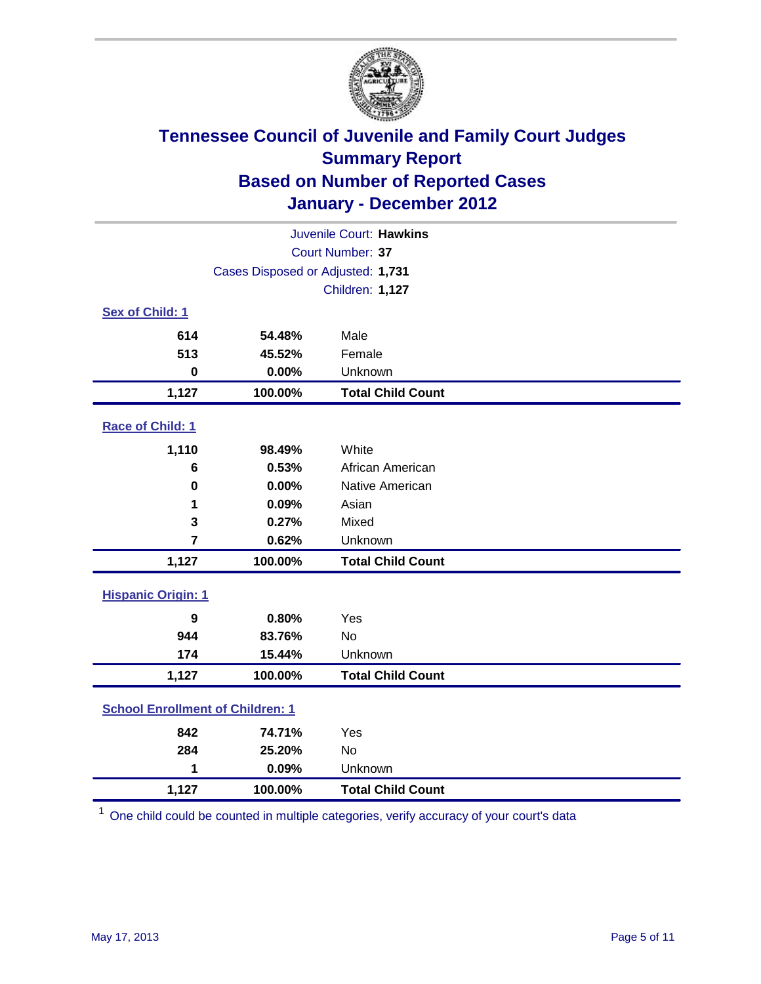

| Juvenile Court: Hawkins                      |                                   |                          |  |  |  |
|----------------------------------------------|-----------------------------------|--------------------------|--|--|--|
| Court Number: 37                             |                                   |                          |  |  |  |
|                                              | Cases Disposed or Adjusted: 1,731 |                          |  |  |  |
|                                              |                                   | <b>Children: 1,127</b>   |  |  |  |
| Sex of Child: 1                              |                                   |                          |  |  |  |
| 614                                          | 54.48%                            | Male                     |  |  |  |
| 513                                          | 45.52%                            | Female                   |  |  |  |
| $\bf{0}$                                     | 0.00%                             | Unknown                  |  |  |  |
| 1,127                                        | 100.00%                           | <b>Total Child Count</b> |  |  |  |
| Race of Child: 1                             |                                   |                          |  |  |  |
| 1,110                                        | 98.49%                            | White                    |  |  |  |
| 6                                            | 0.53%                             | African American         |  |  |  |
| $\bf{0}$                                     | 0.00%                             | Native American          |  |  |  |
| 1                                            | 0.09%                             | Asian                    |  |  |  |
| 3                                            | 0.27%                             | Mixed                    |  |  |  |
| $\overline{7}$                               | 0.62%                             | Unknown                  |  |  |  |
| 1,127                                        | 100.00%                           | <b>Total Child Count</b> |  |  |  |
| <b>Hispanic Origin: 1</b>                    |                                   |                          |  |  |  |
| 9                                            | 0.80%                             | Yes                      |  |  |  |
| 944                                          | 83.76%                            | <b>No</b>                |  |  |  |
| 174                                          | 15.44%                            | Unknown                  |  |  |  |
| 1,127                                        | 100.00%                           | <b>Total Child Count</b> |  |  |  |
| <b>School Enrollment of Children: 1</b>      |                                   |                          |  |  |  |
| 842                                          | 74.71%                            | Yes                      |  |  |  |
| 284                                          | 25.20%                            | <b>No</b>                |  |  |  |
| 1                                            | 0.09%                             | Unknown                  |  |  |  |
| 1,127<br>100.00%<br><b>Total Child Count</b> |                                   |                          |  |  |  |

<sup>1</sup> One child could be counted in multiple categories, verify accuracy of your court's data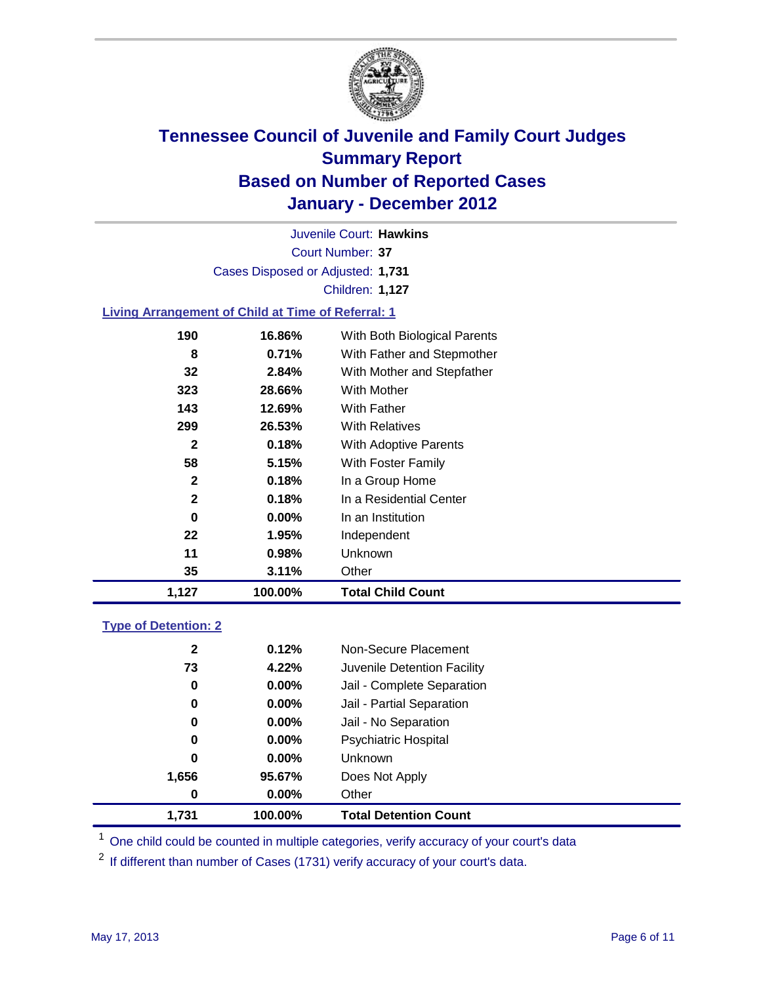

Court Number: **37** Juvenile Court: **Hawkins** Cases Disposed or Adjusted: **1,731** Children: **1,127**

#### **Living Arrangement of Child at Time of Referral: 1**

| 1,127        | 100.00%  | Total Child Count            |
|--------------|----------|------------------------------|
| 35           | 3.11%    | Other                        |
| 11           | 0.98%    | Unknown                      |
| 22           | 1.95%    | Independent                  |
| 0            | $0.00\%$ | In an Institution            |
| $\mathbf{2}$ | 0.18%    | In a Residential Center      |
| $\mathbf{2}$ | 0.18%    | In a Group Home              |
| 58           | 5.15%    | With Foster Family           |
| 2            | 0.18%    | With Adoptive Parents        |
| 299          | 26.53%   | <b>With Relatives</b>        |
| 143          | 12.69%   | With Father                  |
| 323          | 28.66%   | <b>With Mother</b>           |
| 32           | 2.84%    | With Mother and Stepfather   |
| 8            | 0.71%    | With Father and Stepmother   |
| 190          | 16.86%   | With Both Biological Parents |
|              |          |                              |

### **Type of Detention: 2**

| 1.731        | 100.00%  | <b>Total Detention Count</b> |
|--------------|----------|------------------------------|
| $\bf{0}$     | $0.00\%$ | Other                        |
| 1,656        | 95.67%   | Does Not Apply               |
| 0            | $0.00\%$ | Unknown                      |
| 0            | $0.00\%$ | <b>Psychiatric Hospital</b>  |
| 0            | 0.00%    | Jail - No Separation         |
| 0            | $0.00\%$ | Jail - Partial Separation    |
| 0            | 0.00%    | Jail - Complete Separation   |
| 73           | 4.22%    | Juvenile Detention Facility  |
| $\mathbf{2}$ | 0.12%    | Non-Secure Placement         |
|              |          |                              |

<sup>1</sup> One child could be counted in multiple categories, verify accuracy of your court's data

<sup>2</sup> If different than number of Cases (1731) verify accuracy of your court's data.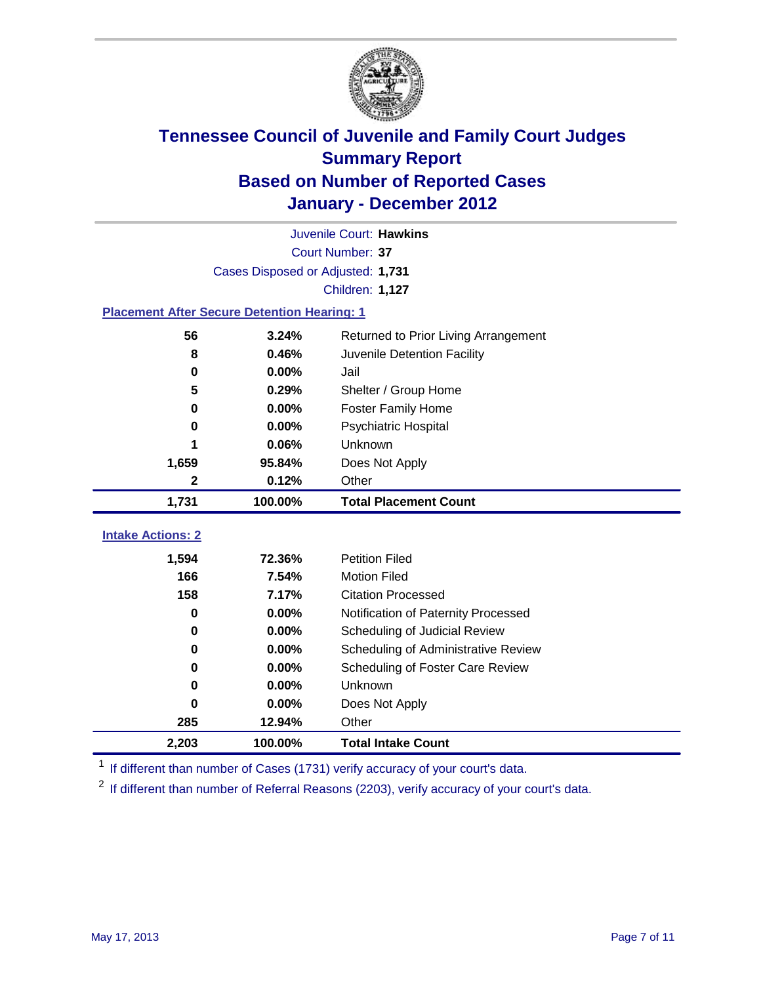

|                                                    | Juvenile Court: Hawkins                       |                                     |  |  |  |
|----------------------------------------------------|-----------------------------------------------|-------------------------------------|--|--|--|
|                                                    | Court Number: 37                              |                                     |  |  |  |
|                                                    | Cases Disposed or Adjusted: 1,731             |                                     |  |  |  |
|                                                    |                                               | Children: 1,127                     |  |  |  |
| <b>Placement After Secure Detention Hearing: 1</b> |                                               |                                     |  |  |  |
| 56                                                 | 3.24%<br>Returned to Prior Living Arrangement |                                     |  |  |  |
| 8                                                  | 0.46%                                         | Juvenile Detention Facility         |  |  |  |
| 0                                                  | 0.00%                                         | Jail                                |  |  |  |
| 5                                                  | 0.29%                                         | Shelter / Group Home                |  |  |  |
| 0                                                  | 0.00%                                         | <b>Foster Family Home</b>           |  |  |  |
| 0                                                  | 0.00%                                         | Psychiatric Hospital                |  |  |  |
| 1                                                  | 0.06%                                         | <b>Unknown</b>                      |  |  |  |
| 1,659                                              | 95.84%                                        | Does Not Apply                      |  |  |  |
| $\mathbf 2$                                        | 0.12%                                         | Other                               |  |  |  |
| 1,731                                              | 100.00%                                       | <b>Total Placement Count</b>        |  |  |  |
|                                                    |                                               |                                     |  |  |  |
| <b>Intake Actions: 2</b>                           |                                               |                                     |  |  |  |
| 1,594                                              | 72.36%                                        | <b>Petition Filed</b>               |  |  |  |
| 166                                                | 7.54%                                         | <b>Motion Filed</b>                 |  |  |  |
| 158                                                | 7.17%                                         | <b>Citation Processed</b>           |  |  |  |
| 0                                                  | 0.00%                                         | Notification of Paternity Processed |  |  |  |
| 0                                                  | 0.00%                                         | Scheduling of Judicial Review       |  |  |  |
| 0                                                  | 0.00%                                         | Scheduling of Administrative Review |  |  |  |
| 0                                                  | 0.00%                                         | Scheduling of Foster Care Review    |  |  |  |
| 0                                                  | 0.00%                                         | Unknown                             |  |  |  |
| 0                                                  | 0.00%                                         | Does Not Apply                      |  |  |  |
| 285                                                | 12.94%                                        | Other                               |  |  |  |
| 2,203                                              | 100.00%                                       | <b>Total Intake Count</b>           |  |  |  |

<sup>1</sup> If different than number of Cases (1731) verify accuracy of your court's data.

<sup>2</sup> If different than number of Referral Reasons (2203), verify accuracy of your court's data.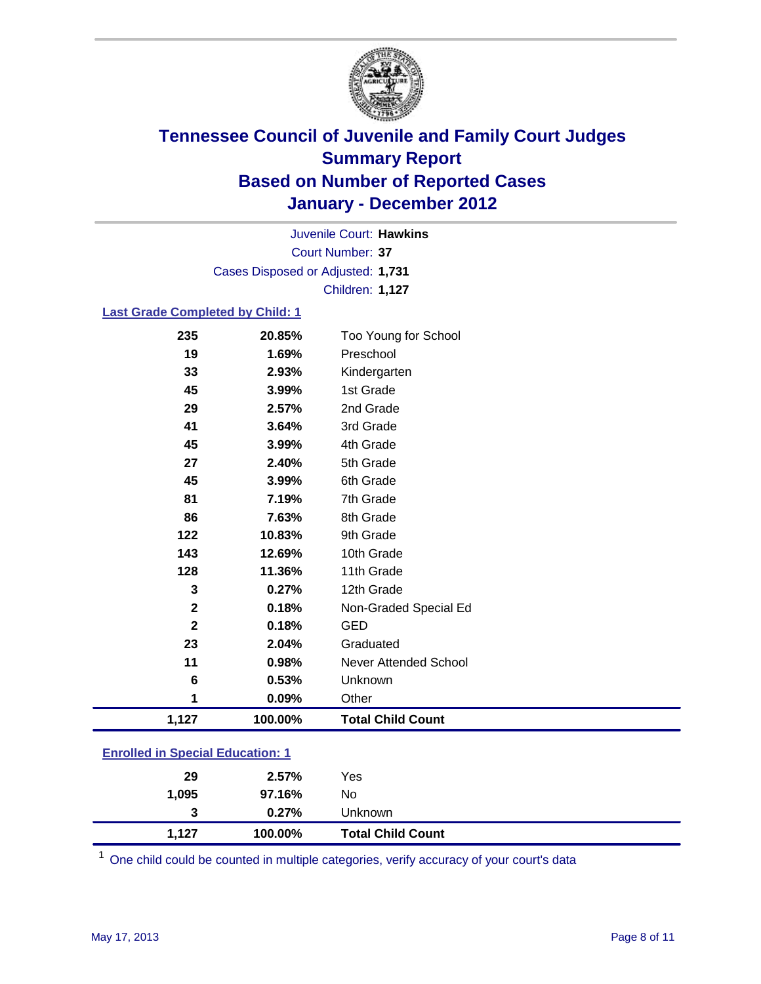

Court Number: **37** Juvenile Court: **Hawkins** Cases Disposed or Adjusted: **1,731** Children: **1,127**

#### **Last Grade Completed by Child: 1**

| 235                                     | 20.85%  | Too Young for School         |  |
|-----------------------------------------|---------|------------------------------|--|
| 19                                      | 1.69%   | Preschool                    |  |
| 33                                      | 2.93%   | Kindergarten                 |  |
| 45                                      | 3.99%   | 1st Grade                    |  |
| 29                                      | 2.57%   | 2nd Grade                    |  |
| 41                                      | 3.64%   | 3rd Grade                    |  |
| 45                                      | 3.99%   | 4th Grade                    |  |
| 27                                      | 2.40%   | 5th Grade                    |  |
| 45                                      | 3.99%   | 6th Grade                    |  |
| 81                                      | 7.19%   | 7th Grade                    |  |
| 86                                      | 7.63%   | 8th Grade                    |  |
| 122                                     | 10.83%  | 9th Grade                    |  |
| 143                                     | 12.69%  | 10th Grade                   |  |
| 128                                     | 11.36%  | 11th Grade                   |  |
| 3                                       | 0.27%   | 12th Grade                   |  |
| $\mathbf{2}$                            | 0.18%   | Non-Graded Special Ed        |  |
| $\overline{\mathbf{2}}$                 | 0.18%   | <b>GED</b>                   |  |
| 23                                      | 2.04%   | Graduated                    |  |
| 11                                      | 0.98%   | <b>Never Attended School</b> |  |
| $6\phantom{1}6$                         | 0.53%   | Unknown                      |  |
| 1                                       | 0.09%   | Other                        |  |
| 1,127                                   | 100.00% | <b>Total Child Count</b>     |  |
|                                         |         |                              |  |
| <b>Enrolled in Special Education: 1</b> |         |                              |  |
| 29                                      | 2.57%   | Yes                          |  |

|       | $0.27\%$ | Unknown                  |
|-------|----------|--------------------------|
| 1.127 | 100.00%  | <b>Total Child Count</b> |

One child could be counted in multiple categories, verify accuracy of your court's data

**1,095 97.16%** No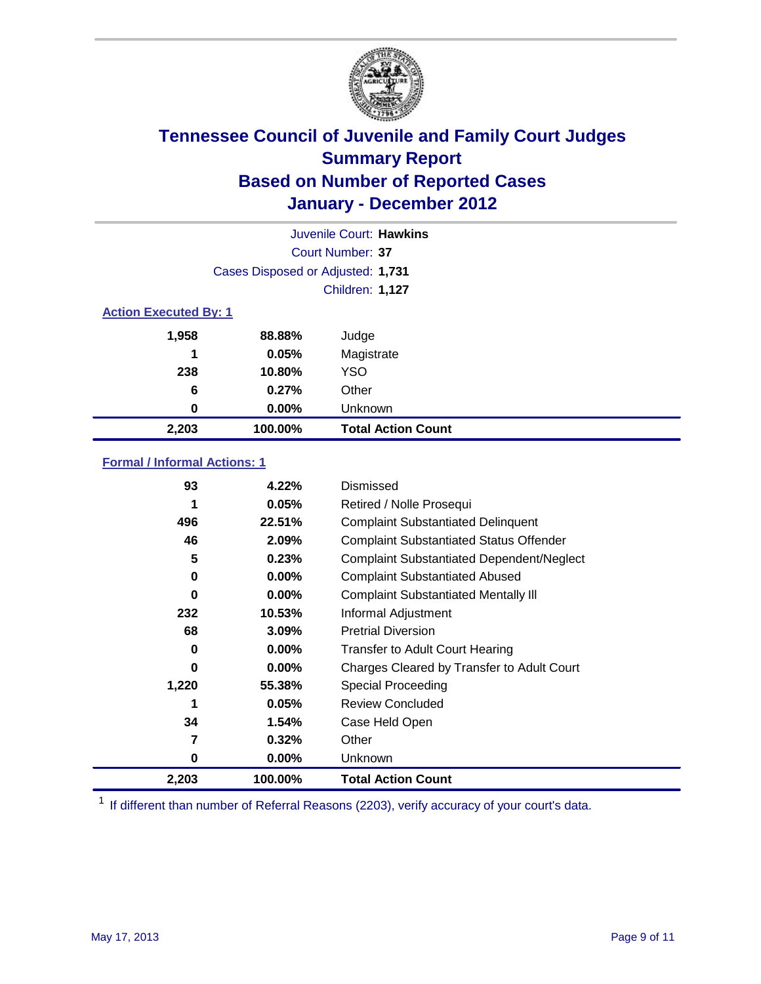

| Juvenile Court: Hawkins      |                                   |                           |  |  |  |
|------------------------------|-----------------------------------|---------------------------|--|--|--|
|                              | Court Number: 37                  |                           |  |  |  |
|                              | Cases Disposed or Adjusted: 1,731 |                           |  |  |  |
|                              | Children: 1,127                   |                           |  |  |  |
| <b>Action Executed By: 1</b> |                                   |                           |  |  |  |
| 1,958                        | 88.88%                            | Judge                     |  |  |  |
| 1                            | 0.05%                             | Magistrate                |  |  |  |
| 238                          | 10.80%                            | <b>YSO</b>                |  |  |  |
| 6                            | 0.27%                             | Other                     |  |  |  |
| 0                            | 0.00%                             | Unknown                   |  |  |  |
| 2,203                        | 100.00%                           | <b>Total Action Count</b> |  |  |  |

### **Formal / Informal Actions: 1**

| 93    | 4.22%    | Dismissed                                        |
|-------|----------|--------------------------------------------------|
| 1     | 0.05%    | Retired / Nolle Prosequi                         |
| 496   | 22.51%   | <b>Complaint Substantiated Delinquent</b>        |
| 46    | 2.09%    | <b>Complaint Substantiated Status Offender</b>   |
| 5     | 0.23%    | <b>Complaint Substantiated Dependent/Neglect</b> |
| 0     | 0.00%    | <b>Complaint Substantiated Abused</b>            |
| 0     | $0.00\%$ | <b>Complaint Substantiated Mentally III</b>      |
| 232   | 10.53%   | Informal Adjustment                              |
| 68    | 3.09%    | <b>Pretrial Diversion</b>                        |
| 0     | $0.00\%$ | <b>Transfer to Adult Court Hearing</b>           |
| 0     | $0.00\%$ | Charges Cleared by Transfer to Adult Court       |
| 1,220 | 55.38%   | Special Proceeding                               |
| 1     | 0.05%    | <b>Review Concluded</b>                          |
| 34    | 1.54%    | Case Held Open                                   |
| 7     | 0.32%    | Other                                            |
| 0     | $0.00\%$ | <b>Unknown</b>                                   |
| 2,203 | 100.00%  | <b>Total Action Count</b>                        |

<sup>1</sup> If different than number of Referral Reasons (2203), verify accuracy of your court's data.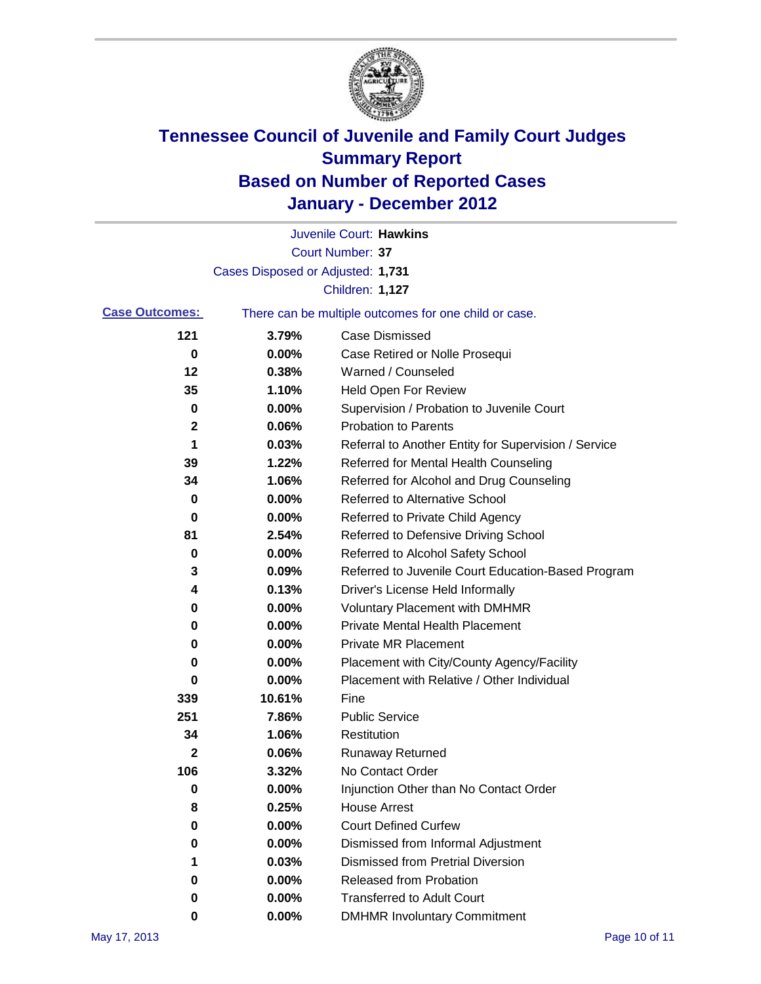

|                       |                                                       | Juvenile Court: Hawkins                              |
|-----------------------|-------------------------------------------------------|------------------------------------------------------|
|                       |                                                       | <b>Court Number: 37</b>                              |
|                       | Cases Disposed or Adjusted: 1,731                     |                                                      |
|                       |                                                       | Children: 1,127                                      |
| <b>Case Outcomes:</b> | There can be multiple outcomes for one child or case. |                                                      |
| 121                   | 3.79%                                                 | <b>Case Dismissed</b>                                |
| 0                     | 0.00%                                                 | Case Retired or Nolle Prosequi                       |
| 12                    | 0.38%                                                 | Warned / Counseled                                   |
| 35                    | 1.10%                                                 | <b>Held Open For Review</b>                          |
| 0                     | 0.00%                                                 | Supervision / Probation to Juvenile Court            |
| 2                     | 0.06%                                                 | <b>Probation to Parents</b>                          |
| 1                     | 0.03%                                                 | Referral to Another Entity for Supervision / Service |
| 39                    | 1.22%                                                 | Referred for Mental Health Counseling                |
| 34                    | 1.06%                                                 | Referred for Alcohol and Drug Counseling             |
| 0                     | 0.00%                                                 | <b>Referred to Alternative School</b>                |
| 0                     | 0.00%                                                 | Referred to Private Child Agency                     |
| 81                    | 2.54%                                                 | Referred to Defensive Driving School                 |
| 0                     | 0.00%                                                 | Referred to Alcohol Safety School                    |
| 3                     | 0.09%                                                 | Referred to Juvenile Court Education-Based Program   |
| 4                     | 0.13%                                                 | Driver's License Held Informally                     |
| 0                     | 0.00%                                                 | <b>Voluntary Placement with DMHMR</b>                |
| 0                     | 0.00%                                                 | <b>Private Mental Health Placement</b>               |
| 0                     | 0.00%                                                 | <b>Private MR Placement</b>                          |
| 0                     | 0.00%                                                 | Placement with City/County Agency/Facility           |
| 0                     | 0.00%                                                 | Placement with Relative / Other Individual           |
| 339                   | 10.61%                                                | Fine                                                 |
| 251                   | 7.86%                                                 | <b>Public Service</b>                                |
| 34                    | 1.06%                                                 | Restitution                                          |
| $\mathbf{2}$          | 0.06%                                                 | <b>Runaway Returned</b>                              |
| 106                   | 3.32%                                                 | No Contact Order                                     |
| 0                     | 0.00%                                                 | Injunction Other than No Contact Order               |
| 8                     | 0.25%                                                 | <b>House Arrest</b>                                  |
| 0                     | 0.00%                                                 | <b>Court Defined Curfew</b>                          |
| 0                     | 0.00%                                                 | Dismissed from Informal Adjustment                   |
| 1                     | 0.03%                                                 | <b>Dismissed from Pretrial Diversion</b>             |
| 0                     | 0.00%                                                 | Released from Probation                              |
| 0                     | 0.00%                                                 | <b>Transferred to Adult Court</b>                    |
| 0                     | $0.00\%$                                              | <b>DMHMR Involuntary Commitment</b>                  |